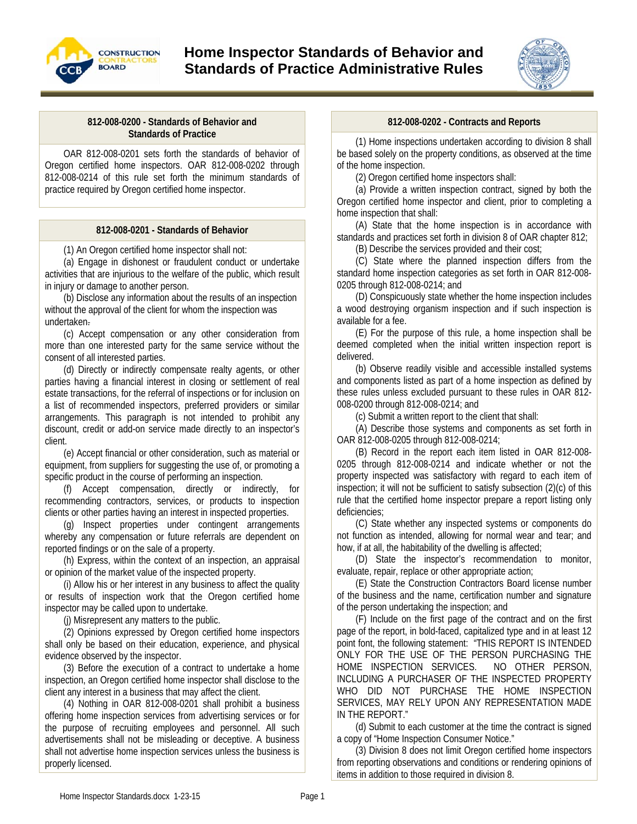

# **Home Inspector Standards of Behavior and Standards of Practice Administrative Rules**



#### **812-008-0200 - Standards of Behavior and Standards of Practice**

OAR 812-008-0201 sets forth the standards of behavior of Oregon certified home inspectors. OAR 812-008-0202 through 812-008-0214 of this rule set forth the minimum standards of practice required by Oregon certified home inspector.

# **812-008-0201 - Standards of Behavior**

(1) An Oregon certified home inspector shall not:

(a) Engage in dishonest or fraudulent conduct or undertake activities that are injurious to the welfare of the public, which result in injury or damage to another person.

(b) Disclose any information about the results of an inspection without the approval of the client for whom the inspection was undertaken.

(c) Accept compensation or any other consideration from more than one interested party for the same service without the consent of all interested parties.

(d) Directly or indirectly compensate realty agents, or other parties having a financial interest in closing or settlement of real estate transactions, for the referral of inspections or for inclusion on a list of recommended inspectors, preferred providers or similar arrangements. This paragraph is not intended to prohibit any discount, credit or add-on service made directly to an inspector's client.

(e) Accept financial or other consideration, such as material or equipment, from suppliers for suggesting the use of, or promoting a specific product in the course of performing an inspection.

(f) Accept compensation, directly or indirectly, for recommending contractors, services, or products to inspection clients or other parties having an interest in inspected properties.

(g) Inspect properties under contingent arrangements whereby any compensation or future referrals are dependent on reported findings or on the sale of a property.

(h) Express, within the context of an inspection, an appraisal or opinion of the market value of the inspected property.

(i) Allow his or her interest in any business to affect the quality or results of inspection work that the Oregon certified home inspector may be called upon to undertake.

(j) Misrepresent any matters to the public.

(2) Opinions expressed by Oregon certified home inspectors shall only be based on their education, experience, and physical evidence observed by the inspector.

(3) Before the execution of a contract to undertake a home inspection, an Oregon certified home inspector shall disclose to the client any interest in a business that may affect the client.

(4) Nothing in OAR 812-008-0201 shall prohibit a business offering home inspection services from advertising services or for the purpose of recruiting employees and personnel. All such advertisements shall not be misleading or deceptive. A business shall not advertise home inspection services unless the business is properly licensed.

#### **812-008-0202 - Contracts and Reports**

(1) Home inspections undertaken according to division 8 shall be based solely on the property conditions, as observed at the time of the home inspection.

(2) Oregon certified home inspectors shall:

(a) Provide a written inspection contract, signed by both the Oregon certified home inspector and client, prior to completing a home inspection that shall:

(A) State that the home inspection is in accordance with standards and practices set forth in division 8 of OAR chapter 812;

(B) Describe the services provided and their cost;

(C) State where the planned inspection differs from the standard home inspection categories as set forth in OAR 812-008- 0205 through 812-008-0214; and

(D) Conspicuously state whether the home inspection includes a wood destroying organism inspection and if such inspection is available for a fee.

(E) For the purpose of this rule, a home inspection shall be deemed completed when the initial written inspection report is delivered.

(b) Observe readily visible and accessible installed systems and components listed as part of a home inspection as defined by these rules unless excluded pursuant to these rules in OAR 812- 008-0200 through 812-008-0214; and

(c) Submit a written report to the client that shall:

(A) Describe those systems and components as set forth in OAR 812-008-0205 through 812-008-0214;

(B) Record in the report each item listed in OAR 812-008- 0205 through 812-008-0214 and indicate whether or not the property inspected was satisfactory with regard to each item of inspection; it will not be sufficient to satisfy subsection (2)(c) of this rule that the certified home inspector prepare a report listing only deficiencies;

(C) State whether any inspected systems or components do not function as intended, allowing for normal wear and tear; and how, if at all, the habitability of the dwelling is affected;

(D) State the inspector's recommendation to monitor, evaluate, repair, replace or other appropriate action;

(E) State the Construction Contractors Board license number of the business and the name, certification number and signature of the person undertaking the inspection; and

(F) Include on the first page of the contract and on the first page of the report, in bold-faced, capitalized type and in at least 12 point font, the following statement: "THIS REPORT IS INTENDED ONLY FOR THE USE OF THE PERSON PURCHASING THE HOME INSPECTION SERVICES. NO OTHER PERSON, INCLUDING A PURCHASER OF THE INSPECTED PROPERTY WHO DID NOT PURCHASE THE HOME INSPECTION SERVICES, MAY RELY UPON ANY REPRESENTATION MADE IN THE REPORT."

(d) Submit to each customer at the time the contract is signed a copy of "Home Inspection Consumer Notice."

(3) Division 8 does not limit Oregon certified home inspectors from reporting observations and conditions or rendering opinions of items in addition to those required in division 8.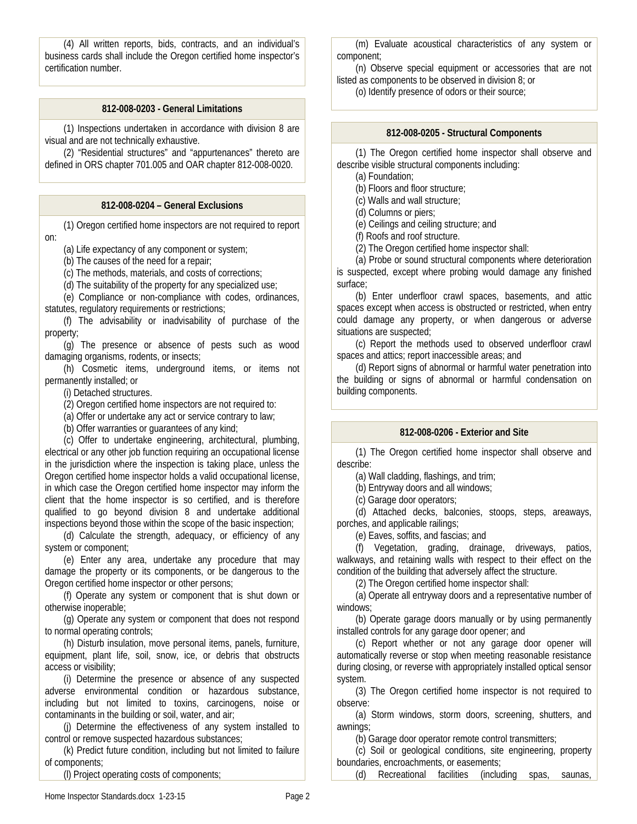(4) All written reports, bids, contracts, and an individual's business cards shall include the Oregon certified home inspector's certification number.

# **812-008-0203 - General Limitations**

(1) Inspections undertaken in accordance with division 8 are visual and are not technically exhaustive.

(2) "Residential structures" and "appurtenances" thereto are defined in ORS chapter 701.005 and OAR chapter 812-008-0020.

#### **812-008-0204 – General Exclusions**

(1) Oregon certified home inspectors are not required to report on:

(a) Life expectancy of any component or system;

(b) The causes of the need for a repair;

(c) The methods, materials, and costs of corrections;

(d) The suitability of the property for any specialized use;

(e) Compliance or non-compliance with codes, ordinances, statutes, regulatory requirements or restrictions;

(f) The advisability or inadvisability of purchase of the property;

(g) The presence or absence of pests such as wood damaging organisms, rodents, or insects;

(h) Cosmetic items, underground items, or items not permanently installed; or

(i) Detached structures.

(2) Oregon certified home inspectors are not required to:

(a) Offer or undertake any act or service contrary to law;

(b) Offer warranties or guarantees of any kind;

(c) Offer to undertake engineering, architectural, plumbing, electrical or any other job function requiring an occupational license in the jurisdiction where the inspection is taking place, unless the Oregon certified home inspector holds a valid occupational license, in which case the Oregon certified home inspector may inform the client that the home inspector is so certified, and is therefore qualified to go beyond division 8 and undertake additional inspections beyond those within the scope of the basic inspection;

(d) Calculate the strength, adequacy, or efficiency of any system or component;

(e) Enter any area, undertake any procedure that may damage the property or its components, or be dangerous to the Oregon certified home inspector or other persons;

(f) Operate any system or component that is shut down or otherwise inoperable;

(g) Operate any system or component that does not respond to normal operating controls;

(h) Disturb insulation, move personal items, panels, furniture, equipment, plant life, soil, snow, ice, or debris that obstructs access or visibility;

(i) Determine the presence or absence of any suspected adverse environmental condition or hazardous substance, including but not limited to toxins, carcinogens, noise or contaminants in the building or soil, water, and air;

(j) Determine the effectiveness of any system installed to control or remove suspected hazardous substances;

(k) Predict future condition, including but not limited to failure of components;

(l) Project operating costs of components;

(m) Evaluate acoustical characteristics of any system or component;

(n) Observe special equipment or accessories that are not listed as components to be observed in division 8; or

(o) Identify presence of odors or their source;

#### **812-008-0205 - Structural Components**

(1) The Oregon certified home inspector shall observe and describe visible structural components including:

(a) Foundation;

(b) Floors and floor structure;

(c) Walls and wall structure;

(d) Columns or piers;

(e) Ceilings and ceiling structure; and

(f) Roofs and roof structure.

(2) The Oregon certified home inspector shall:

(a) Probe or sound structural components where deterioration is suspected, except where probing would damage any finished surface;

(b) Enter underfloor crawl spaces, basements, and attic spaces except when access is obstructed or restricted, when entry could damage any property, or when dangerous or adverse situations are suspected;

(c) Report the methods used to observed underfloor crawl spaces and attics; report inaccessible areas; and

(d) Report signs of abnormal or harmful water penetration into the building or signs of abnormal or harmful condensation on building components.

# **812-008-0206 - Exterior and Site**

(1) The Oregon certified home inspector shall observe and describe:

(a) Wall cladding, flashings, and trim;

(b) Entryway doors and all windows;

(c) Garage door operators;

(d) Attached decks, balconies, stoops, steps, areaways, porches, and applicable railings;

(e) Eaves, soffits, and fascias; and

(f) Vegetation, grading, drainage, driveways, patios, walkways, and retaining walls with respect to their effect on the condition of the building that adversely affect the structure.

(2) The Oregon certified home inspector shall:

(a) Operate all entryway doors and a representative number of windows;

(b) Operate garage doors manually or by using permanently installed controls for any garage door opener; and

(c) Report whether or not any garage door opener will automatically reverse or stop when meeting reasonable resistance during closing, or reverse with appropriately installed optical sensor system.

(3) The Oregon certified home inspector is not required to observe:

(a) Storm windows, storm doors, screening, shutters, and awnings;

(b) Garage door operator remote control transmitters;

(c) Soil or geological conditions, site engineering, property boundaries, encroachments, or easements;

(d) Recreational facilities (including spas, saunas,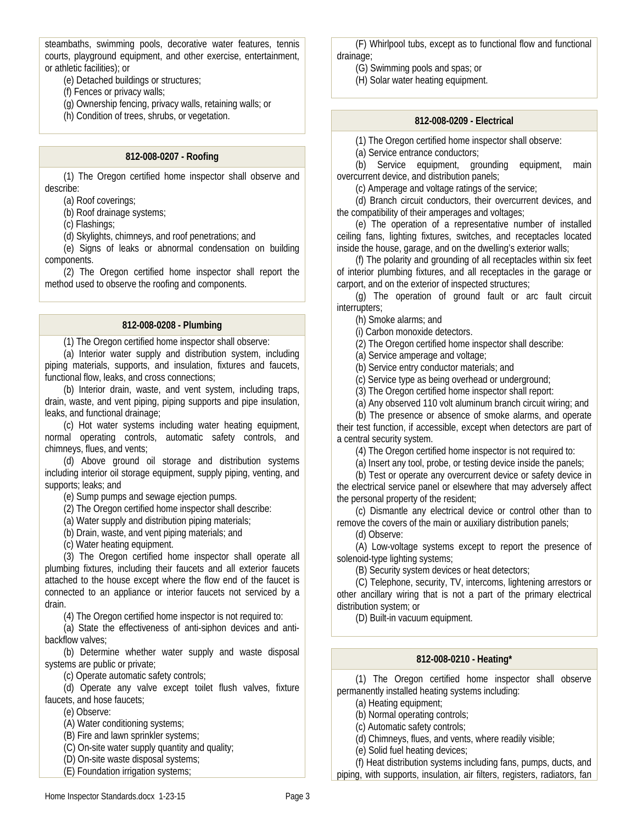steambaths, swimming pools, decorative water features, tennis courts, playground equipment, and other exercise, entertainment, or athletic facilities); or

(e) Detached buildings or structures;

(f) Fences or privacy walls;

(g) Ownership fencing, privacy walls, retaining walls; or

(h) Condition of trees, shrubs, or vegetation.

#### **812-008-0207 - Roofing**

(1) The Oregon certified home inspector shall observe and describe:

(a) Roof coverings;

(b) Roof drainage systems;

(c) Flashings;

(d) Skylights, chimneys, and roof penetrations; and

(e) Signs of leaks or abnormal condensation on building components.

(2) The Oregon certified home inspector shall report the method used to observe the roofing and components.

#### **812-008-0208 - Plumbing**

(1) The Oregon certified home inspector shall observe:

(a) Interior water supply and distribution system, including piping materials, supports, and insulation, fixtures and faucets, functional flow, leaks, and cross connections;

(b) Interior drain, waste, and vent system, including traps, drain, waste, and vent piping, piping supports and pipe insulation, leaks, and functional drainage;

(c) Hot water systems including water heating equipment, normal operating controls, automatic safety controls, and chimneys, flues, and vents;

(d) Above ground oil storage and distribution systems including interior oil storage equipment, supply piping, venting, and supports; leaks; and

(e) Sump pumps and sewage ejection pumps.

(2) The Oregon certified home inspector shall describe:

(a) Water supply and distribution piping materials;

(b) Drain, waste, and vent piping materials; and

(c) Water heating equipment.

(3) The Oregon certified home inspector shall operate all plumbing fixtures, including their faucets and all exterior faucets attached to the house except where the flow end of the faucet is connected to an appliance or interior faucets not serviced by a drain.

(4) The Oregon certified home inspector is not required to:

(a) State the effectiveness of anti-siphon devices and antibackflow valves;

(b) Determine whether water supply and waste disposal systems are public or private;

(c) Operate automatic safety controls;

(d) Operate any valve except toilet flush valves, fixture faucets, and hose faucets;

(e) Observe:

(A) Water conditioning systems;

(B) Fire and lawn sprinkler systems;

(C) On-site water supply quantity and quality;

(D) On-site waste disposal systems;

(E) Foundation irrigation systems;

(F) Whirlpool tubs, except as to functional flow and functional drainage;

(G) Swimming pools and spas; or

(H) Solar water heating equipment.

#### **812-008-0209 - Electrical**

(1) The Oregon certified home inspector shall observe:

(a) Service entrance conductors;

(b) Service equipment, grounding equipment, main overcurrent device, and distribution panels;

(c) Amperage and voltage ratings of the service;

(d) Branch circuit conductors, their overcurrent devices, and the compatibility of their amperages and voltages;

(e) The operation of a representative number of installed ceiling fans, lighting fixtures, switches, and receptacles located inside the house, garage, and on the dwelling's exterior walls;

(f) The polarity and grounding of all receptacles within six feet of interior plumbing fixtures, and all receptacles in the garage or carport, and on the exterior of inspected structures;

(g) The operation of ground fault or arc fault circuit interrupters;

(h) Smoke alarms; and

(i) Carbon monoxide detectors.

(2) The Oregon certified home inspector shall describe:

(a) Service amperage and voltage;

(b) Service entry conductor materials; and

(c) Service type as being overhead or underground;

(3) The Oregon certified home inspector shall report:

(a) Any observed 110 volt aluminum branch circuit wiring; and

(b) The presence or absence of smoke alarms, and operate their test function, if accessible, except when detectors are part of a central security system.

(4) The Oregon certified home inspector is not required to:

(a) Insert any tool, probe, or testing device inside the panels;

(b) Test or operate any overcurrent device or safety device in the electrical service panel or elsewhere that may adversely affect the personal property of the resident;

(c) Dismantle any electrical device or control other than to remove the covers of the main or auxiliary distribution panels;

(d) Observe:

(A) Low-voltage systems except to report the presence of solenoid-type lighting systems;

(B) Security system devices or heat detectors;

(C) Telephone, security, TV, intercoms, lightening arrestors or other ancillary wiring that is not a part of the primary electrical distribution system; or

(D) Built-in vacuum equipment.

# **812-008-0210 - Heating\***

(1) The Oregon certified home inspector shall observe permanently installed heating systems including:

(a) Heating equipment;

(b) Normal operating controls;

(c) Automatic safety controls;

(d) Chimneys, flues, and vents, where readily visible;

(e) Solid fuel heating devices;

(f) Heat distribution systems including fans, pumps, ducts, and piping, with supports, insulation, air filters, registers, radiators, fan